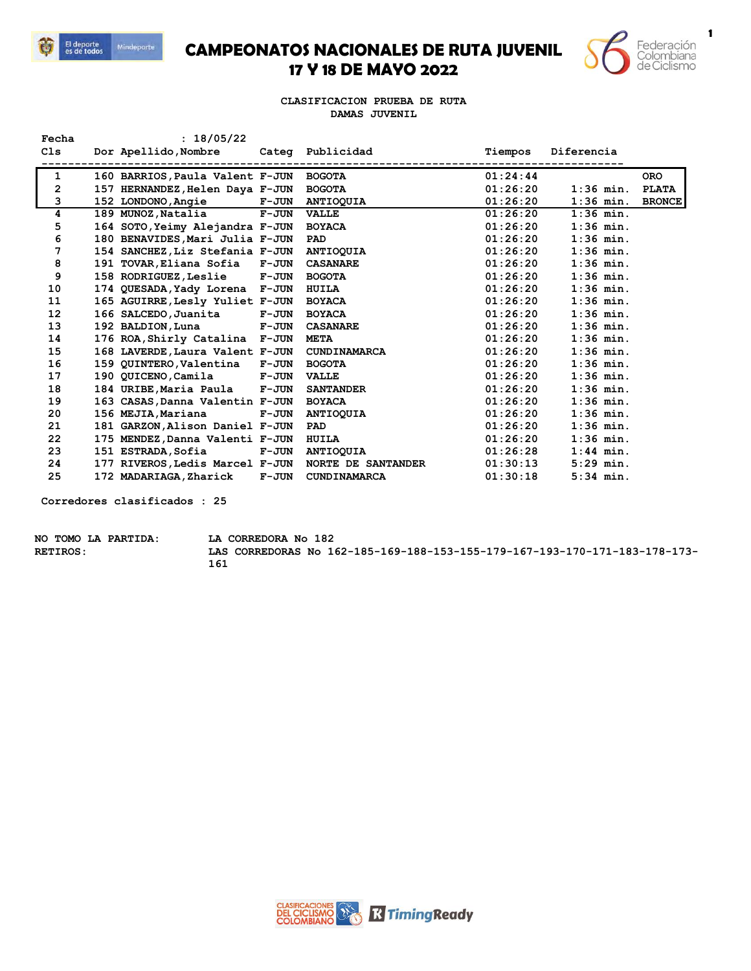

## **CAMPEONATOS NACIONALES DE RUTA JUVENIL 17 Y 18 DE MAYO 2022**



**1**

**CLASIFICACION PRUEBA DE RUTA DAMAS JUVENIL**

| Fecha          | : 18/05/22                                         |              |                     |          |             |               |
|----------------|----------------------------------------------------|--------------|---------------------|----------|-------------|---------------|
| C1s            | Dor Apellido, Nombre Categ Publicidad              |              |                     | Tiempos  | Diferencia  |               |
|                |                                                    |              |                     |          |             |               |
| 1              | 160 BARRIOS, Paula Valent F-JUN BOGOTA             |              |                     | 01:24:44 |             | <b>ORO</b>    |
| $\overline{2}$ | 157 HERNANDEZ, Helen Daya F-JUN BOGOTA             |              |                     | 01:26:20 | $1:36$ min. | <b>PLATA</b>  |
| 3              | 152 LONDONO, Angie F-JUN ANTIOQUIA                 |              |                     | 01:26:20 | $1:36$ min. | <b>BRONCE</b> |
| 4              | 189 MUNOZ, Natalia F-JUN                           |              | <b>VALLE</b>        | 01:26:20 | $1:36$ min. |               |
| 5              | 164 SOTO, Yeimy Alejandra F-JUN                    |              | <b>BOYACA</b>       | 01:26:20 | $1:36$ min. |               |
| 6              | 180 BENAVIDES, Mari Julia F-JUN                    |              | PAD                 | 01:26:20 | $1:36$ min. |               |
| 7              | 154 SANCHEZ, Liz Stefania F-JUN ANTIOQUIA          |              |                     | 01:26:20 | $1:36$ min. |               |
| 8              | 191 TOVAR, Eliana Sofia F-JUN                      |              | <b>CASANARE</b>     | 01:26:20 | $1:36$ min. |               |
| 9              | 158 RODRIGUEZ, Leslie F-JUN                        |              | <b>BOGOTA</b>       | 01:26:20 | $1:36$ min. |               |
| 10             | 174 QUESADA, Yady Lorena F-JUN                     |              | HUILA               | 01:26:20 | $1:36$ min. |               |
| 11             | 165 AGUIRRE, Lesly Yuliet F-JUN                    |              | <b>BOYACA</b>       | 01:26:20 | $1:36$ min. |               |
| 12             | 166 SALCEDO, Juanita F-JUN                         |              | <b>BOYACA</b>       | 01:26:20 | $1:36$ min. |               |
| 13             | 192 BALDION, Luna F-JUN                            |              | <b>CASANARE</b>     | 01:26:20 | $1:36$ min. |               |
| 14             | 176 ROA, Shirly Catalina F-JUN                     |              | <b>META</b>         | 01:26:20 | $1:36$ min. |               |
| 15             | 168 LAVERDE, Laura Valent F-JUN                    |              | CUNDINAMARCA        | 01:26:20 | $1:36$ min. |               |
| 16             | 159 QUINTERO, Valentina F-JUN                      |              | <b>BOGOTA</b>       | 01:26:20 | $1:36$ min. |               |
| 17             | 190 QUICENO, Camila F-JUN                          |              | <b>VALLE</b>        | 01:26:20 | $1:36$ min. |               |
| 18             | 184 URIBE, Maria Paula F-JUN                       |              | <b>SANTANDER</b>    | 01:26:20 | $1:36$ min. |               |
| 19             | 163 CASAS, Danna Valentin F-JUN                    |              | <b>BOYACA</b>       | 01:26:20 | $1:36$ min. |               |
| 20             | 156 MEJIA, Mariana                                 | $F-JUN$      | <b>ANTIOQUIA</b>    | 01:26:20 | $1:36$ min. |               |
| 21             | 181 GARZON, Alison Daniel F-JUN                    |              | PAD                 | 01:26:20 | $1:36$ min. |               |
| 22             | 175 MENDEZ, Danna Valenti F-JUN                    |              | <b>HUILA</b>        | 01:26:20 | $1:36$ min. |               |
| 23             | 151 ESTRADA, Sofia                                 | <b>F-JUN</b> | <b>ANTIOQUIA</b>    | 01:26:28 | $1:44$ min. |               |
| 24             | 177 RIVEROS, Ledis Marcel F-JUN NORTE DE SANTANDER |              |                     | 01:30:13 | $5:29$ min. |               |
| 25             | 172 MADARIAGA, Zharick                             | <b>F-JUN</b> | <b>CUNDINAMARCA</b> | 01:30:18 | $5:34$ min. |               |

**Corredores clasificados : 25**

| NO TOMO LA PARTIDA: | LA CORREDORA No 182                                                        |
|---------------------|----------------------------------------------------------------------------|
| <b>RETIROS:</b>     | LAS CORREDORAS No 162-185-169-188-153-155-179-167-193-170-171-183-178-173- |
|                     | 161                                                                        |

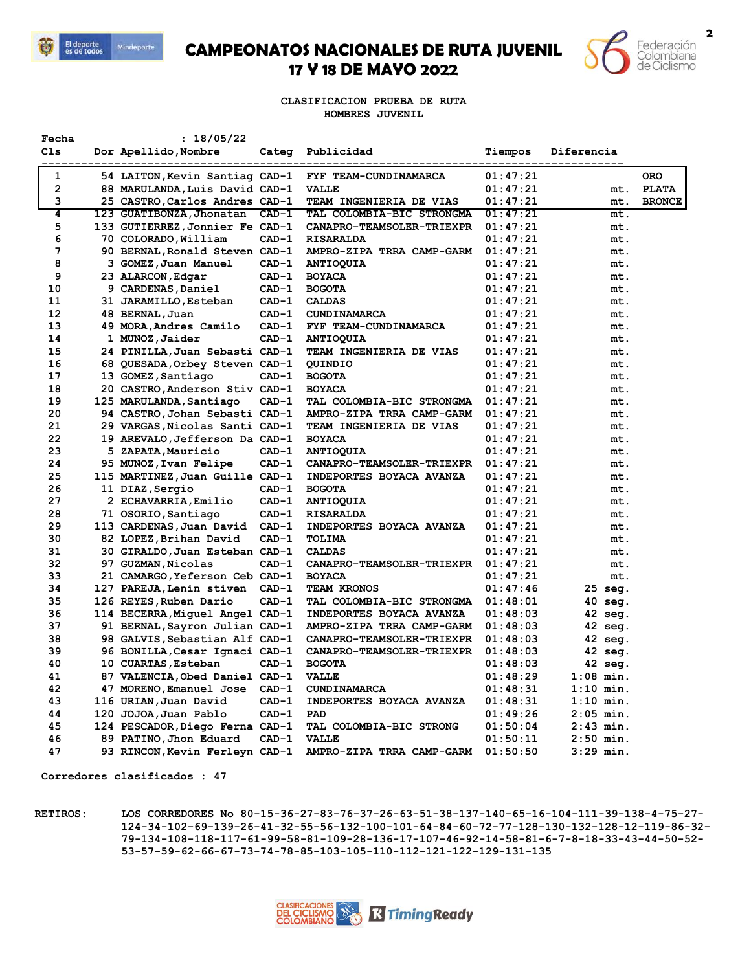

## **CAMPEONATOS NACIONALES DE RUTA JUVENIL 17 Y 18 DE MAYO 2022**



**CLASIFICACION PRUEBA DE RUTA HOMBRES JUVENIL**

| Fecha | : 18/05/22                          |         |                                  |          |             |               |
|-------|-------------------------------------|---------|----------------------------------|----------|-------------|---------------|
| C1s   | Dor Apellido, Nombre<br>----------- | Categ   | Publicidad                       | Tiempos  | Diferencia  |               |
| 1     | 54 LAITON, Kevin Santiag CAD-1      |         | FYF TEAM-CUNDINAMARCA            | 01:47:21 |             | <b>ORO</b>    |
| 2     | 88 MARULANDA, Luis David CAD-1      |         | <b>VALLE</b>                     | 01:47:21 | mt.         | <b>PLATA</b>  |
| 3     | 25 CASTRO, Carlos Andres CAD-1      |         | TEAM INGENIERIA DE VIAS          | 01:47:21 | mt.         | <b>BRONCE</b> |
| 4     | 123 GUATIBONZA, Jhonatan CAD-1      |         | TAL COLOMBIA-BIC STRONGMA        | 01:47:21 | mt.         |               |
| 5     | 133 GUTIERREZ,Jonnier Fe CAD-1      |         | <b>CANAPRO-TEAMSOLER-TRIEXPR</b> | 01:47:21 | mt.         |               |
| 6     | 70 COLORADO, William                | $CAD-1$ | <b>RISARALDA</b>                 | 01:47:21 | mt.         |               |
| 7     | 90 BERNAL, Ronald Steven CAD-1      |         | AMPRO-ZIPA TRRA CAMP-GARM        | 01:47:21 | mt.         |               |
| 8     | 3 GOMEZ, Juan Manuel                | $CAD-1$ | <b>ANTIOQUIA</b>                 | 01:47:21 | mt.         |               |
| 9     | 23 ALARCON, Edgar                   | $CAD-1$ | <b>BOYACA</b>                    | 01:47:21 | mt.         |               |
| 10    | 9 CARDENAS, Daniel                  | $CAD-1$ | <b>BOGOTA</b>                    | 01:47:21 | mt.         |               |
| 11    | 31 JARAMILLO, Esteban               | $CAD-1$ | <b>CALDAS</b>                    | 01:47:21 | mt.         |               |
| 12    | 48 BERNAL, Juan                     | $CAD-1$ | <b>CUNDINAMARCA</b>              | 01:47:21 | mt.         |               |
| 13    | 49 MORA, Andres Camilo              | $CAD-1$ | FYF TEAM-CUNDINAMARCA            | 01:47:21 | mt.         |               |
| 14    | 1 MUNOZ, Jaider                     | $CAD-1$ | <b>ANTIOQUIA</b>                 | 01:47:21 | mt.         |               |
| 15    | 24 PINILLA, Juan Sebasti CAD-1      |         | <b>TEAM INGENIERIA DE VIAS</b>   | 01:47:21 | mt.         |               |
| 16    | 68 QUESADA, Orbey Steven CAD-1      |         | <b>QUINDIO</b>                   | 01:47:21 | mt.         |               |
| 17    | 13 GOMEZ, Santiago                  | $CAD-1$ | <b>BOGOTA</b>                    | 01:47:21 | mt.         |               |
| 18    | 20 CASTRO, Anderson Stiv CAD-1      |         | <b>BOYACA</b>                    | 01:47:21 | mt.         |               |
| 19    | 125 MARULANDA, Santiago             | $CAD-1$ | TAL COLOMBIA-BIC STRONGMA        | 01:47:21 | mt.         |               |
| 20    | 94 CASTRO, Johan Sebasti CAD-1      |         | AMPRO-ZIPA TRRA CAMP-GARM        | 01:47:21 | mt.         |               |
| 21    | 29 VARGAS, Nicolas Santi CAD-1      |         | <b>TEAM INGENIERIA DE VIAS</b>   | 01:47:21 | mt.         |               |
| 22    | 19 AREVALO, Jefferson Da CAD-1      |         | <b>BOYACA</b>                    | 01:47:21 | mt.         |               |
| 23    | 5 ZAPATA, Mauricio                  | $CAD-1$ | <b>ANTIOQUIA</b>                 | 01:47:21 | mt.         |               |
| 24    | 95 MUNOZ, Ivan Felipe               | $CAD-1$ | CANAPRO-TEAMSOLER-TRIEXPR        | 01:47:21 | mt.         |               |
| 25    | 115 MARTINEZ, Juan Guille CAD-1     |         | INDEPORTES BOYACA AVANZA         | 01:47:21 | mt.         |               |
| 26    | 11 DIAZ, Sergio                     | $CAD-1$ | <b>BOGOTA</b>                    | 01:47:21 | mt.         |               |
| 27    | 2 ECHAVARRIA, Emilio                | $CAD-1$ | <b>ANTIOQUIA</b>                 | 01:47:21 | mt.         |               |
| 28    | 71 OSORIO, Santiago                 | $CAD-1$ | <b>RISARALDA</b>                 | 01:47:21 | mt.         |               |
| 29    | 113 CARDENAS, Juan David            | $CAD-1$ | INDEPORTES BOYACA AVANZA         | 01:47:21 | mt.         |               |
| 30    | 82 LOPEZ, Brihan David              | $CAD-1$ | TOLIMA                           | 01:47:21 | mt.         |               |
| 31    | 30 GIRALDO, Juan Esteban CAD-1      |         | <b>CALDAS</b>                    | 01:47:21 | mt.         |               |
| 32    | 97 GUZMAN, Nicolas                  | $CAD-1$ | CANAPRO-TEAMSOLER-TRIEXPR        | 01:47:21 | mt.         |               |
| 33    | 21 CAMARGO, Yeferson Ceb CAD-1      |         | <b>BOYACA</b>                    | 01:47:21 | mt.         |               |
| 34    | 127 PAREJA, Lenin stiven            | $CAD-1$ | <b>TEAM KRONOS</b>               | 01:47:46 | 25 seg.     |               |
| 35    | 126 REYES, Ruben Dario              | $CAD-1$ | TAL COLOMBIA-BIC STRONGMA        | 01:48:01 | 40 seg.     |               |
| 36    | 114 BECERRA, Miguel Angel CAD-1     |         | INDEPORTES BOYACA AVANZA         | 01:48:03 | 42 seg.     |               |
| 37    | 91 BERNAL, Sayron Julian CAD-1      |         | AMPRO-ZIPA TRRA CAMP-GARM        | 01:48:03 | 42 seg.     |               |
| 38    | 98 GALVIS, Sebastian Alf CAD-1      |         | CANAPRO-TEAMSOLER-TRIEXPR        | 01:48:03 | 42 seg.     |               |
| 39    | 96 BONILLA, Cesar Ignaci CAD-1      |         | CANAPRO-TEAMSOLER-TRIEXPR        | 01:48:03 | 42 seg.     |               |
| 40    | 10 CUARTAS, Esteban                 | $CAD-1$ | <b>BOGOTA</b>                    | 01:48:03 | 42 seg.     |               |
| 41    | 87 VALENCIA, Obed Daniel CAD-1      |         | <b>VALLE</b>                     | 01:48:29 | $1:08$ min. |               |
| 42    | 47 MORENO,Emanuel Jose              | $CAD-1$ | <b>CUNDINAMARCA</b>              | 01:48:31 | $1:10$ min. |               |
| 43    | 116 URIAN, Juan David               | $CAD-1$ | INDEPORTES BOYACA AVANZA         | 01:48:31 | $1:10$ min. |               |
| 44    | 120 JOJOA, Juan Pablo               | $CAD-1$ | PAD                              | 01:49:26 | $2:05$ min. |               |
| 45    | 124 PESCADOR, Diego Ferna CAD-1     |         | TAL COLOMBIA-BIC STRONG          | 01:50:04 | 2:43 min.   |               |
| 46    | 89 PATINO, Jhon Eduard              | $CAD-1$ | <b>VALLE</b>                     | 01:50:11 | $2:50$ min. |               |
| 47    | 93 RINCON, Kevin Ferleyn CAD-1      |         | AMPRO-ZIPA TRRA CAMP-GARM        | 01:50:50 | $3:29$ min. |               |

**Corredores clasificados : 47**

**RETIROS: LOS CORREDORES No 80-15-36-27-83-76-37-26-63-51-38-137-140-65-16-104-111-39-138-4-75-27- 124-34-102-69-139-26-41-32-55-56-132-100-101-64-84-60-72-77-128-130-132-128-12-119-86-32- 79-134-108-118-117-61-99-58-81-109-28-136-17-107-46-92-14-58-81-6-7-8-18-33-43-44-50-52- 53-57-59-62-66-67-73-74-78-85-103-105-110-112-121-122-129-131-135**